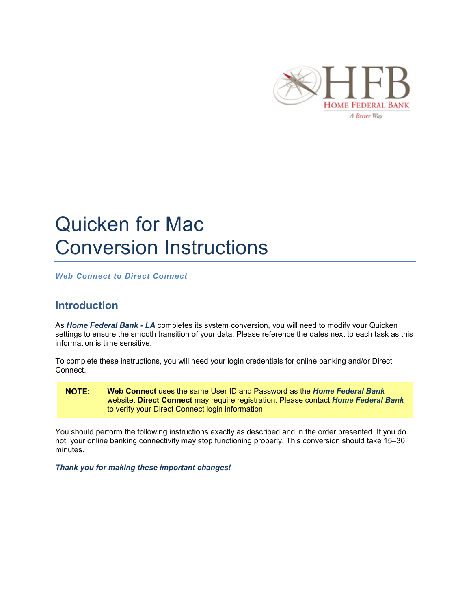

# Quicken for Mac Conversion Instructions

*Web Connect to Direct Connect*

## **Introduction**

As *Home Federal Bank - LA* completes its system conversion, you will need to modify your Quicken settings to ensure the smooth transition of your data. Please reference the dates next to each task as this information is time sensitive.

To complete these instructions, you will need your login credentials for online banking and/or Direct Connect.

NOTE: **Web Connect** uses the same User ID and Password as the *Home Federal Bank*  website. **Direct Connect** may require registration. Please contact *Home Federal Bank*  to verify your Direct Connect login information.

You should perform the following instructions exactly as described and in the order presented. If you do not, your online banking connectivity may stop functioning properly. This conversion should take 15–30 minutes.

*Thank you for making these important changes!*